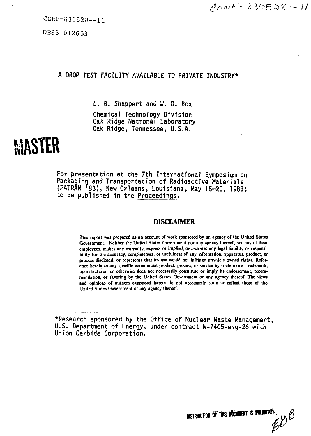CONF-830528—11

DE83 012G53

# **A DROP TEST FACILITY AVAILABLE TO PRIVATE INDUSTRY\***

**L. B. Shappert and W. D. Box Chemical Technology Division Oak Ridge National Laboratory Oak Ridge, Tennessee, U.S.A.**

# **MASTER**

**For presentation at the 7th International Symposium on Packaging and Transportation of Radioactive Materials (PATRAM '83), New Orleans, Louisiana, May 15-20, 1983; to be published in the Proceedings.**

# **DISCLAIMER**

**This report was prepared as an account of work sponsored by an agency of the United States Government. Neither the United States Government nor any agency thereof, nor any of their employees, makes any warranty, express or implied, or assumes any legal liability or responsibility for the accuracy, completeness, or usefulness of any information, apparatus, product, or process disclosed, or represents that its use would not infringe privately owned rights. Reference herein to any specific commercial product, process, or service by trade name, trademark, manufacturer, or otherwise does not necessarily constitute or imply its endorsement, recommendation, or favoring by the United States Government or any agency thereof. The views and opinions of authors expressed herein do not necessarily state or reflect those of the United States Government or any agency thereof.**



**<sup>•</sup>Research sponsored by the Office of Nuclear Waste Management, U.S. Department of Energy, under contract W-7405-eng-26 with Union Carbide Corporation.**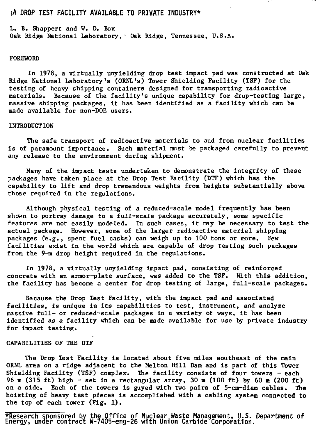# **;A DROP TEST FACILITY AVAILABLE TO PRIVATE INDUSTRY\***

L. B. Shappert and V. D. Box Oak Ridge National Laboratory, Oak Ridge, Tennessee, U.S.A.

### FOREWORD

In 1978, a virtually unyielding drop test impact pad was constructed at Oak Ridge National Laboratory's (ORNL's) Tower Shielding Facility (TSF) for the testing of heavy shipping containers designed for transporting radioactive materials. Because of the facility's unique capability for drop-testing large, massive shipping packages, it has been identified as a facility which can be made available for non-DOE users.

#### INTRODUCTION

The safe transport of radioactive materials to and from nuclear facilities is of paramount importance. Such material must be packaged carefully to prevent any release to the environment during shipment.

Many of the impact tests undertaken to demonstrate the integrity of these packages have taken place at the Drop Test Facility (DTF) which has the capability to lift and drop tremendous weights from heights substantially above those required in the regulations.

Although physical testing of a reduced-scale model frequently has been shown to portray damage to a full-scale package accurately, some specific features are not easily modeled. In such cases, it may be necessary to test the actual package. However, some of the larger radioactive material shipping packages (e.g., spent fuel casks) can weigh up to 100 tons or more. Few facilities exist in the world which are capable of drop testing such packages from the 9-m drop height required in the regulations.

In 1978, a virtually unyielding impact pad, consisting of reinforced concrete with an armor-plate surface, was added to the TSF. With this addition, the facility has become a center for drop testing of large, full-scale packages.

Because the Drop Test Facility, with the impact pad and associated facilities, is unique in its capabilities to test, instrument, and analyze massive full- or reduced-scale packages in a variety of ways, it has been identified as a facility which can be made available for use by private industry for impact testing.

# CAPABILITIES OF THE DTF

The Drop Test Facility is located about five miles southeast of the main ORNL area on a ridge adjacent to the Melton Hill Dam and is part of this Tower Shielding Facility (TSF) complex. The facility consists of four towers  $-$  each 96 m (315 ft) high - set in a rectangular array, 30 m (100 ft) by 60 m (200 ft) on a side. Each of the towers Is guyed with two pairs of 5-cm-diam cables. The hoisting of heavy test pieces is accomplished with a cabling system connected to the top of each tower (Fig. 1).

**•Research sponsored by the Office of Nuclear.Waste Management, U.S. Energy, under contract W-/405-eng-26 with Union Carbide Corporation. Department of**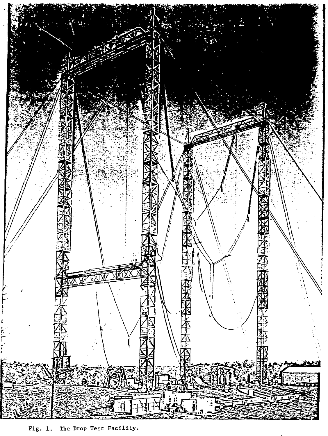

Fig. i. The Drop Test Facility.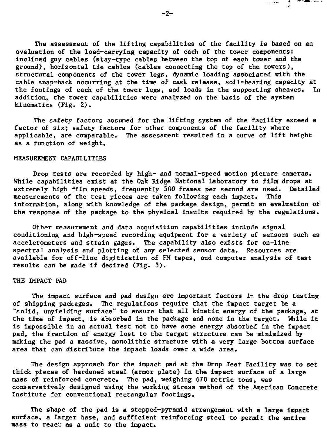The assessment of the lifting capabilities of the facility is based on an evaluation of the load-carrying capacity of each of the tower components: inclined guy cables (stay-type cables between the top of each tower and the ground), horizontal tie cables (cables connecting the top of the towers), structural components of the tower legs, dynamic loading associated with the cable snap-back occurring at the time of cask release, soil-bearing capacity at the footings of each of the tower legs, and loads in the supporting sheaves. In addition, the tower capabilities were analyzed on the basis of the system kinematics (Fig. 2).

The safety factors assumed for the lifting system of the facility exceed a factor of six; safety factors for other components of the facility where applicable, are comparable. The assessment resulted in a curve of lift height as a function of weight.

#### MEASUREMENT CAPABILITIES

Drop tests are recorded by high- and normal-speed motion picture cameras. While capabilities exist at the Oak Ridge National Laboratory to film drops at extremely high film speeds, frequently 500 frames per second are used. Detailed<br>measurements of the test pieces are taken following each impact. This measurements of the test pieces are taken following each impact. information, along with knowledge of the package design, permit an evaluation of the response of the package to the physical insults required by the regulations.

Other measurement and data acquisition capabilities include signal conditioning and high-speed recording equipment for a variety of sensors such as accelerometers and strain gages. The capability also exists for on-line spectral analysis and plotting of any selected sensor data. Resources are available for off-line digitization of FM tapes, and computer analysis of test results can be made if desired (Fig. 3).

# THE IMPACT PAD

The impact surface and pad design are important factors in the drop testing of shipping packages. The regulations require that the impact target be a "solid, unyielding surface" to ensure that all kinetic energy of the package, at the time of impact, is absorbed in the package and none in the target. While it is impossible in an actual test not to have some energy absorbed in the impact pad, the fraction of energy lost to the target structure can be minimized by making the pad a massive, monolithic structure with a very large bottom surface area that can distribute the impact loads over a wide area.

The design approach for the impact pad at the Drop Test Facility was to set thick pieces of hardened steel (armor plate) in the impact surface of a large mass of reinforced concrete. The pad, weighing 670 metric tons, was conservatively designed using the working stress method of the American Concrete Institute for conventional rectangular footings.

The shape of the pad is a stepped-pyramid arrangement with a large impact surface, a larger base, and sufficient reinforcing steel to permit the entire mass to react as a unit to the impact.

 $-2-$ 

ಸಾಹಾರ ಕ್ಷೇಣಿಗಳ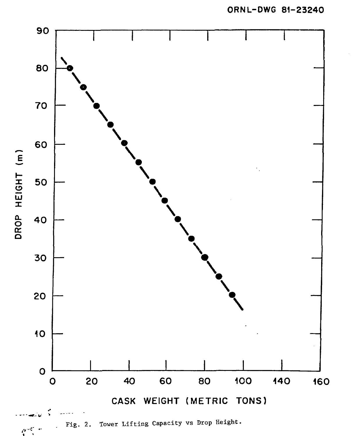**ORNL-DWG 81-23240**

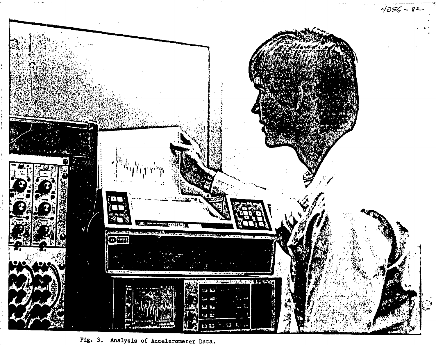

**Fig. Analysis of Accelerometer Data.**